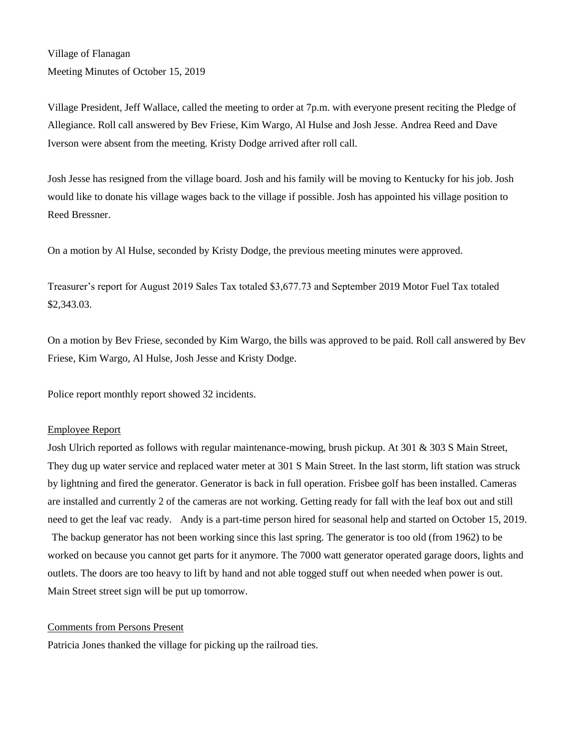Village of Flanagan Meeting Minutes of October 15, 2019

Village President, Jeff Wallace, called the meeting to order at 7p.m. with everyone present reciting the Pledge of Allegiance. Roll call answered by Bev Friese, Kim Wargo, Al Hulse and Josh Jesse. Andrea Reed and Dave Iverson were absent from the meeting. Kristy Dodge arrived after roll call.

Josh Jesse has resigned from the village board. Josh and his family will be moving to Kentucky for his job. Josh would like to donate his village wages back to the village if possible. Josh has appointed his village position to Reed Bressner.

On a motion by Al Hulse, seconded by Kristy Dodge, the previous meeting minutes were approved.

Treasurer's report for August 2019 Sales Tax totaled \$3,677.73 and September 2019 Motor Fuel Tax totaled \$2,343.03.

On a motion by Bev Friese, seconded by Kim Wargo, the bills was approved to be paid. Roll call answered by Bev Friese, Kim Wargo, Al Hulse, Josh Jesse and Kristy Dodge.

Police report monthly report showed 32 incidents.

## Employee Report

Josh Ulrich reported as follows with regular maintenance-mowing, brush pickup. At 301 & 303 S Main Street, They dug up water service and replaced water meter at 301 S Main Street. In the last storm, lift station was struck by lightning and fired the generator. Generator is back in full operation. Frisbee golf has been installed. Cameras are installed and currently 2 of the cameras are not working. Getting ready for fall with the leaf box out and still need to get the leaf vac ready. Andy is a part-time person hired for seasonal help and started on October 15, 2019. The backup generator has not been working since this last spring. The generator is too old (from 1962) to be worked on because you cannot get parts for it anymore. The 7000 watt generator operated garage doors, lights and outlets. The doors are too heavy to lift by hand and not able togged stuff out when needed when power is out. Main Street street sign will be put up tomorrow.

### Comments from Persons Present

Patricia Jones thanked the village for picking up the railroad ties.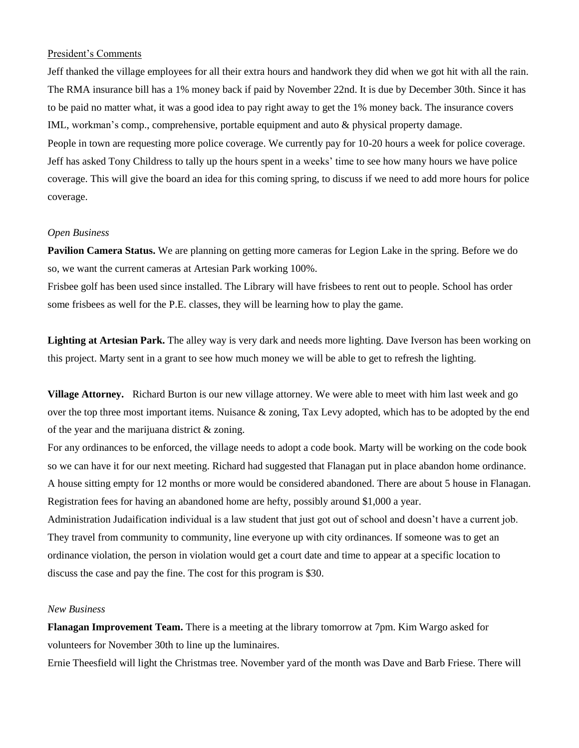### President's Comments

Jeff thanked the village employees for all their extra hours and handwork they did when we got hit with all the rain. The RMA insurance bill has a 1% money back if paid by November 22nd. It is due by December 30th. Since it has to be paid no matter what, it was a good idea to pay right away to get the 1% money back. The insurance covers IML, workman's comp., comprehensive, portable equipment and auto & physical property damage. People in town are requesting more police coverage. We currently pay for 10-20 hours a week for police coverage. Jeff has asked Tony Childress to tally up the hours spent in a weeks' time to see how many hours we have police coverage. This will give the board an idea for this coming spring, to discuss if we need to add more hours for police coverage.

#### *Open Business*

**Pavilion Camera Status.** We are planning on getting more cameras for Legion Lake in the spring. Before we do so, we want the current cameras at Artesian Park working 100%.

Frisbee golf has been used since installed. The Library will have frisbees to rent out to people. School has order some frisbees as well for the P.E. classes, they will be learning how to play the game.

**Lighting at Artesian Park.** The alley way is very dark and needs more lighting. Dave Iverson has been working on this project. Marty sent in a grant to see how much money we will be able to get to refresh the lighting.

**Village Attorney.** Richard Burton is our new village attorney. We were able to meet with him last week and go over the top three most important items. Nuisance & zoning, Tax Levy adopted, which has to be adopted by the end of the year and the marijuana district & zoning.

For any ordinances to be enforced, the village needs to adopt a code book. Marty will be working on the code book so we can have it for our next meeting. Richard had suggested that Flanagan put in place abandon home ordinance. A house sitting empty for 12 months or more would be considered abandoned. There are about 5 house in Flanagan. Registration fees for having an abandoned home are hefty, possibly around \$1,000 a year.

Administration Judaification individual is a law student that just got out of school and doesn't have a current job. They travel from community to community, line everyone up with city ordinances. If someone was to get an ordinance violation, the person in violation would get a court date and time to appear at a specific location to discuss the case and pay the fine. The cost for this program is \$30.

# *New Business*

**Flanagan Improvement Team.** There is a meeting at the library tomorrow at 7pm. Kim Wargo asked for volunteers for November 30th to line up the luminaires.

Ernie Theesfield will light the Christmas tree. November yard of the month was Dave and Barb Friese. There will